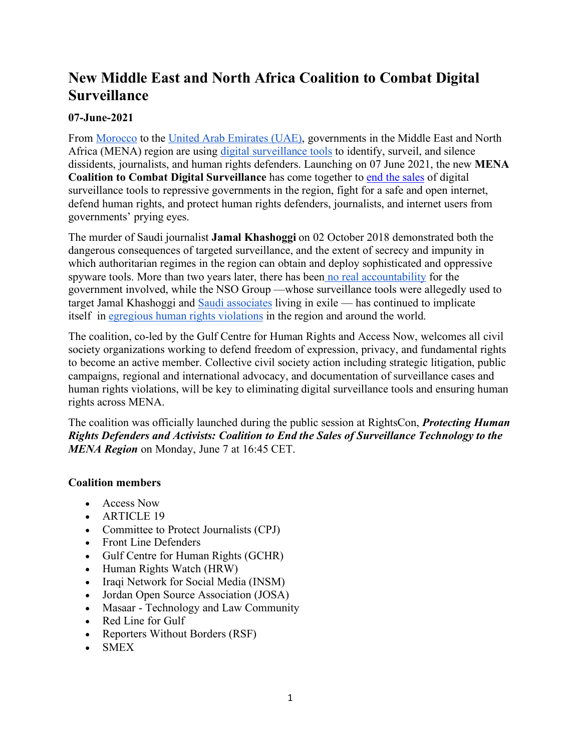## **New Middle East and North Africa Coalition to Combat Digital Surveillance**

## **07-June-2021**

From Morocco to the United Arab Emirates (UAE), governments in the Middle East and North Africa (MENA) region are using digital surveillance tools to identify, surveil, and silence dissidents, journalists, and human rights defenders. Launching on 07 June 2021, the new **MENA Coalition to Combat Digital Surveillance** has come together to end the sales of digital surveillance tools to repressive governments in the region, fight for a safe and open internet, defend human rights, and protect human rights defenders, journalists, and internet users from governments' prying eyes.

The murder of Saudi journalist **Jamal Khashoggi** on 02 October 2018 demonstrated both the dangerous consequences of targeted surveillance, and the extent of secrecy and impunity in which authoritarian regimes in the region can obtain and deploy sophisticated and oppressive spyware tools. More than two years later, there has been no real accountability for the government involved, while the NSO Group —whose surveillance tools were allegedly used to target Jamal Khashoggi and Saudi associates living in exile — has continued to implicate itself in egregious human rights violations in the region and around the world.

The coalition, co-led by the Gulf Centre for Human Rights and Access Now, welcomes all civil society organizations working to defend freedom of expression, privacy, and fundamental rights to become an active member. Collective civil society action including strategic litigation, public campaigns, regional and international advocacy, and documentation of surveillance cases and human rights violations, will be key to eliminating digital surveillance tools and ensuring human rights across MENA.

The coalition was officially launched during the public session at RightsCon, *Protecting Human Rights Defenders and Activists: Coalition to End the Sales of Surveillance Technology to the MENA Region* on Monday, June 7 at 16:45 CET.

## **Coalition members**

- Access Now
- ARTICLE 19
- Committee to Protect Journalists (CPJ)
- Front Line Defenders
- Gulf Centre for Human Rights (GCHR)
- Human Rights Watch (HRW)
- Iraqi Network for Social Media (INSM)
- Jordan Open Source Association (JOSA)
- Masaar Technology and Law Community
- Red Line for Gulf
- Reporters Without Borders (RSF)
- SMEX